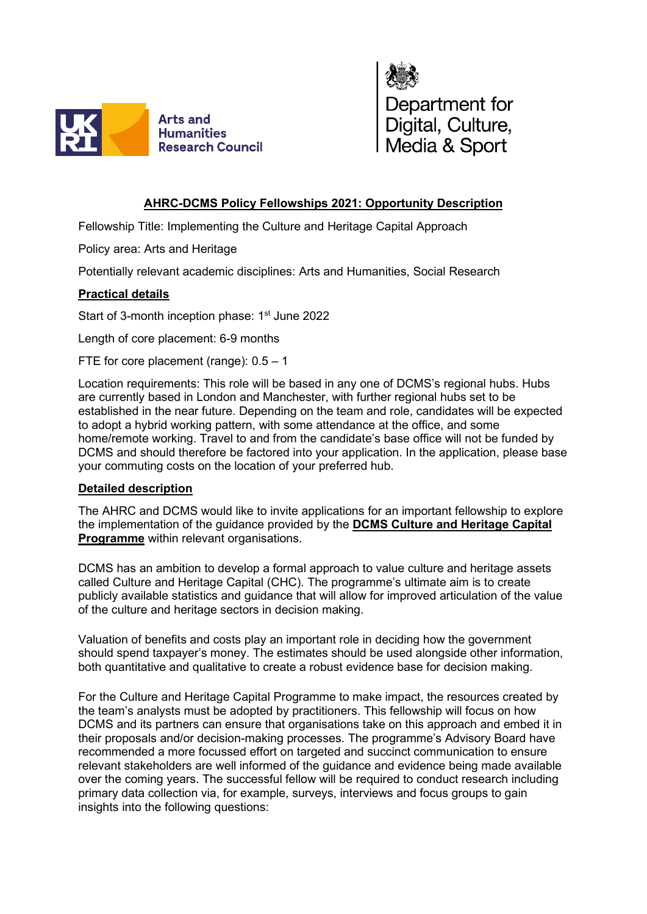



## **AHRC-DCMS Policy Fellowships 2021: Opportunity Description**

Fellowship Title: Implementing the Culture and Heritage Capital Approach

Policy area: Arts and Heritage

Potentially relevant academic disciplines: Arts and Humanities, Social Research

## **Practical details**

Start of 3-month inception phase: 1<sup>st</sup> June 2022

Length of core placement: 6-9 months

FTE for core placement (range): 0.5 – 1

Location requirements: This role will be based in any one of DCMS's regional hubs. Hubs are currently based in London and Manchester, with further regional hubs set to be established in the near future. Depending on the team and role, candidates will be expected to adopt a hybrid working pattern, with some attendance at the office, and some home/remote working. Travel to and from the candidate's base office will not be funded by DCMS and should therefore be factored into your application. In the application, please base your commuting costs on the location of your preferred hub.

## **Detailed description**

The AHRC and DCMS would like to invite applications for an important fellowship to explore the implementation of the guidance provided by the **[DCMS Culture and Heritage Capital](https://www.gov.uk/government/publications/valuing-culture-and-heritage-capital-a-framework-towards-decision-making/valuing-culture-and-heritage-capital-a-framework-towards-informing-decision-making)  [Programme](https://www.gov.uk/government/publications/valuing-culture-and-heritage-capital-a-framework-towards-decision-making/valuing-culture-and-heritage-capital-a-framework-towards-informing-decision-making)** within relevant organisations.

DCMS has an ambition to develop a formal approach to value culture and heritage assets called Culture and Heritage Capital (CHC). The programme's ultimate aim is to create publicly available statistics and guidance that will allow for improved articulation of the value of the culture and heritage sectors in decision making.

Valuation of benefits and costs play an important role in deciding how the government should spend taxpayer's money. The estimates should be used alongside other information, both quantitative and qualitative to create a robust evidence base for decision making.

For the Culture and Heritage Capital Programme to make impact, the resources created by the team's analysts must be adopted by practitioners. This fellowship will focus on how DCMS and its partners can ensure that organisations take on this approach and embed it in their proposals and/or decision-making processes. The programme's Advisory Board have recommended a more focussed effort on targeted and succinct communication to ensure relevant stakeholders are well informed of the guidance and evidence being made available over the coming years. The successful fellow will be required to conduct research including primary data collection via, for example, surveys, interviews and focus groups to gain insights into the following questions: